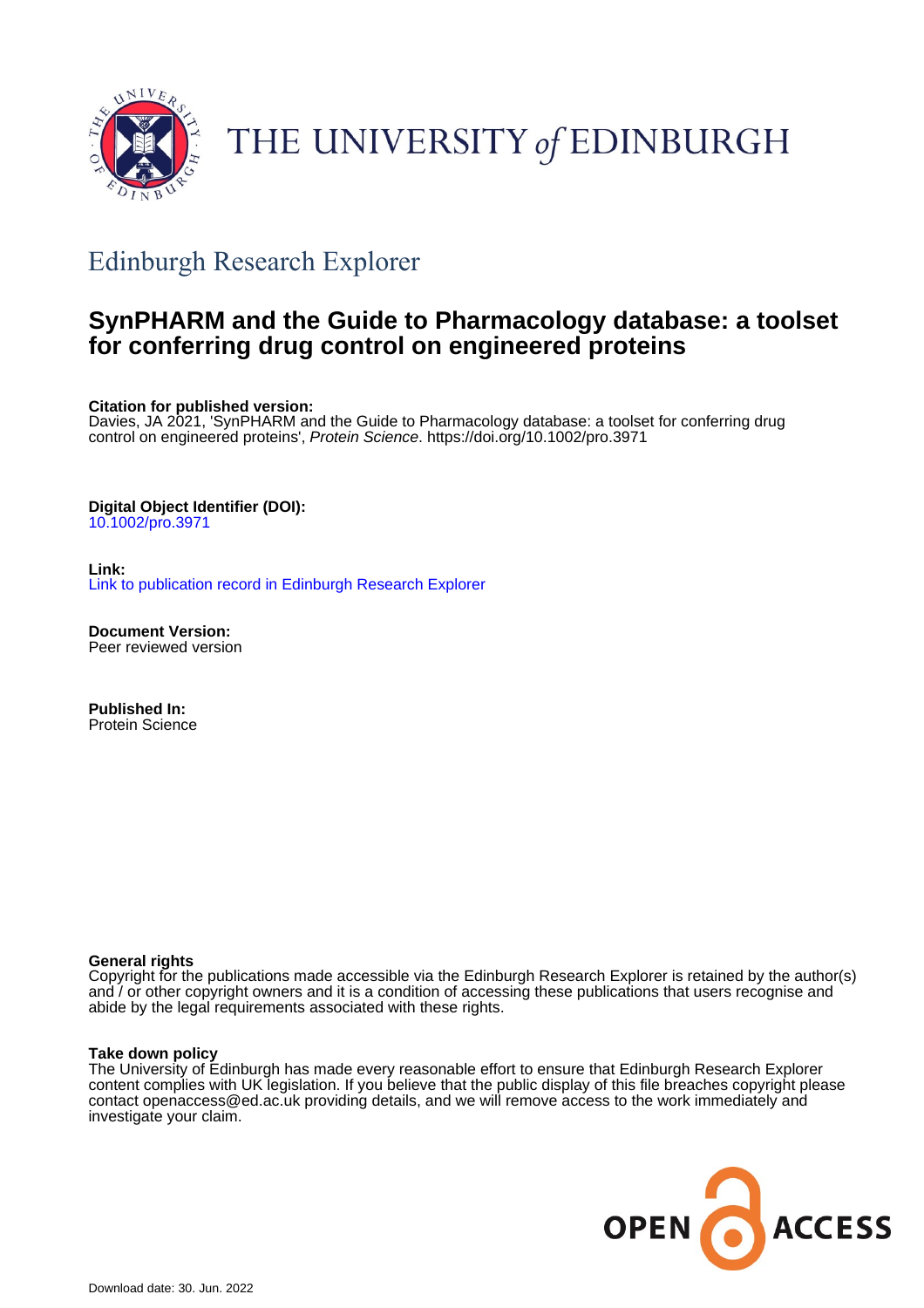

# THE UNIVERSITY of EDINBURGH

## Edinburgh Research Explorer

## **SynPHARM and the Guide to Pharmacology database: a toolset for conferring drug control on engineered proteins**

**Citation for published version:**

Davies, JA 2021, 'SynPHARM and the Guide to Pharmacology database: a toolset for conferring drug control on engineered proteins', Protein Science.<https://doi.org/10.1002/pro.3971>

#### **Digital Object Identifier (DOI):**

[10.1002/pro.3971](https://doi.org/10.1002/pro.3971)

**Link:** [Link to publication record in Edinburgh Research Explorer](https://www.research.ed.ac.uk/en/publications/50b7ab28-efb1-40ea-9f15-d8d63a8ad808)

**Document Version:** Peer reviewed version

**Published In:** Protein Science

#### **General rights**

Copyright for the publications made accessible via the Edinburgh Research Explorer is retained by the author(s) and / or other copyright owners and it is a condition of accessing these publications that users recognise and abide by the legal requirements associated with these rights.

#### **Take down policy**

The University of Edinburgh has made every reasonable effort to ensure that Edinburgh Research Explorer content complies with UK legislation. If you believe that the public display of this file breaches copyright please contact openaccess@ed.ac.uk providing details, and we will remove access to the work immediately and investigate your claim.

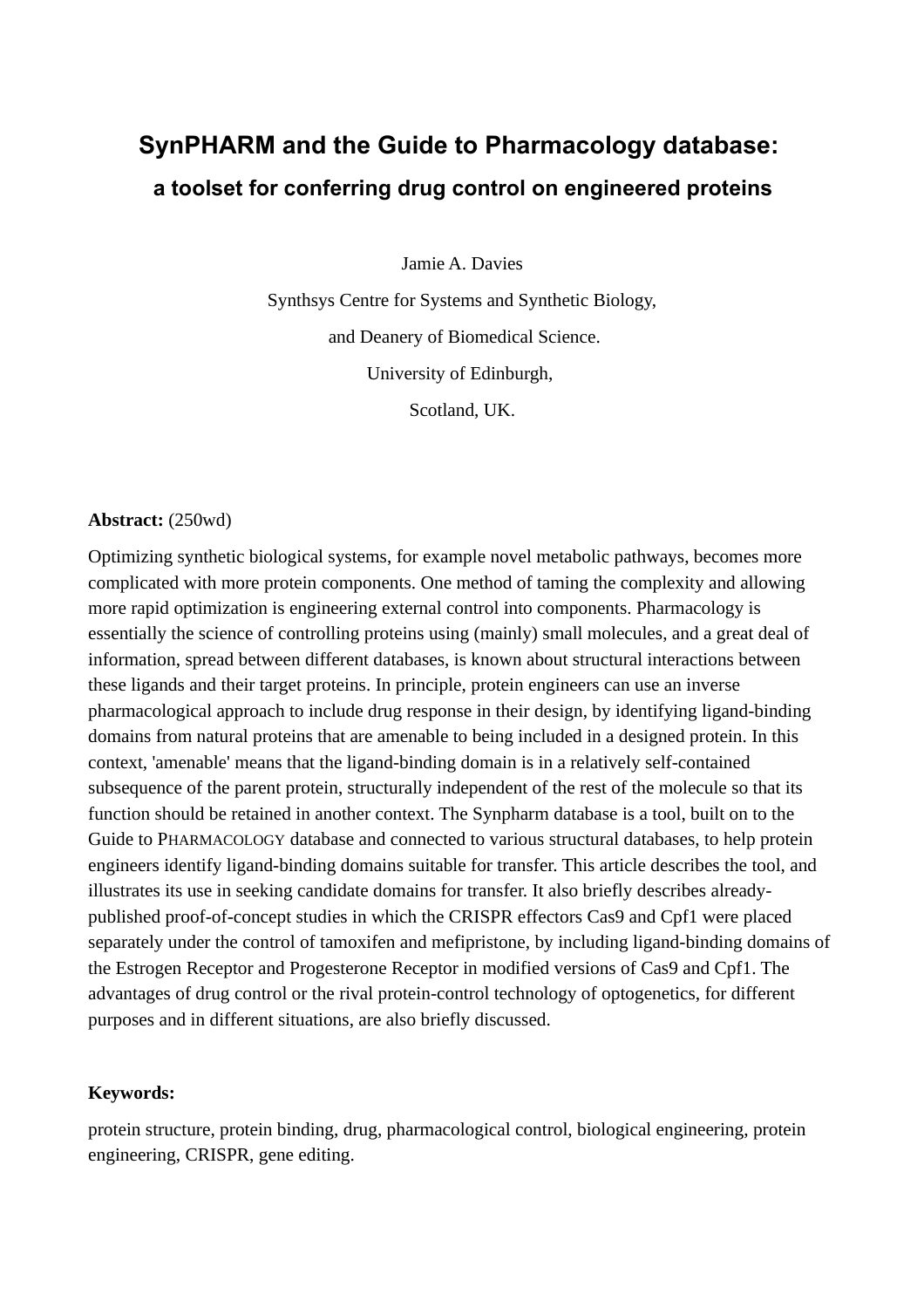## **SynPHARM and the Guide to Pharmacology database: a toolset for conferring drug control on engineered proteins**

Jamie A. Davies

Synthsys Centre for Systems and Synthetic Biology, and Deanery of Biomedical Science. University of Edinburgh, Scotland, UK.

#### **Abstract:** (250wd)

Optimizing synthetic biological systems, for example novel metabolic pathways, becomes more complicated with more protein components. One method of taming the complexity and allowing more rapid optimization is engineering external control into components. Pharmacology is essentially the science of controlling proteins using (mainly) small molecules, and a great deal of information, spread between different databases, is known about structural interactions between these ligands and their target proteins. In principle, protein engineers can use an inverse pharmacological approach to include drug response in their design, by identifying ligand-binding domains from natural proteins that are amenable to being included in a designed protein. In this context, 'amenable' means that the ligand-binding domain is in a relatively self-contained subsequence of the parent protein, structurally independent of the rest of the molecule so that its function should be retained in another context. The Synpharm database is a tool, built on to the Guide to PHARMACOLOGY database and connected to various structural databases, to help protein engineers identify ligand-binding domains suitable for transfer. This article describes the tool, and illustrates its use in seeking candidate domains for transfer. It also briefly describes alreadypublished proof-of-concept studies in which the CRISPR effectors Cas9 and Cpf1 were placed separately under the control of tamoxifen and mefipristone, by including ligand-binding domains of the Estrogen Receptor and Progesterone Receptor in modified versions of Cas9 and Cpf1. The advantages of drug control or the rival protein-control technology of optogenetics, for different purposes and in different situations, are also briefly discussed.

### **Keywords:**

protein structure, protein binding, drug, pharmacological control, biological engineering, protein engineering, CRISPR, gene editing.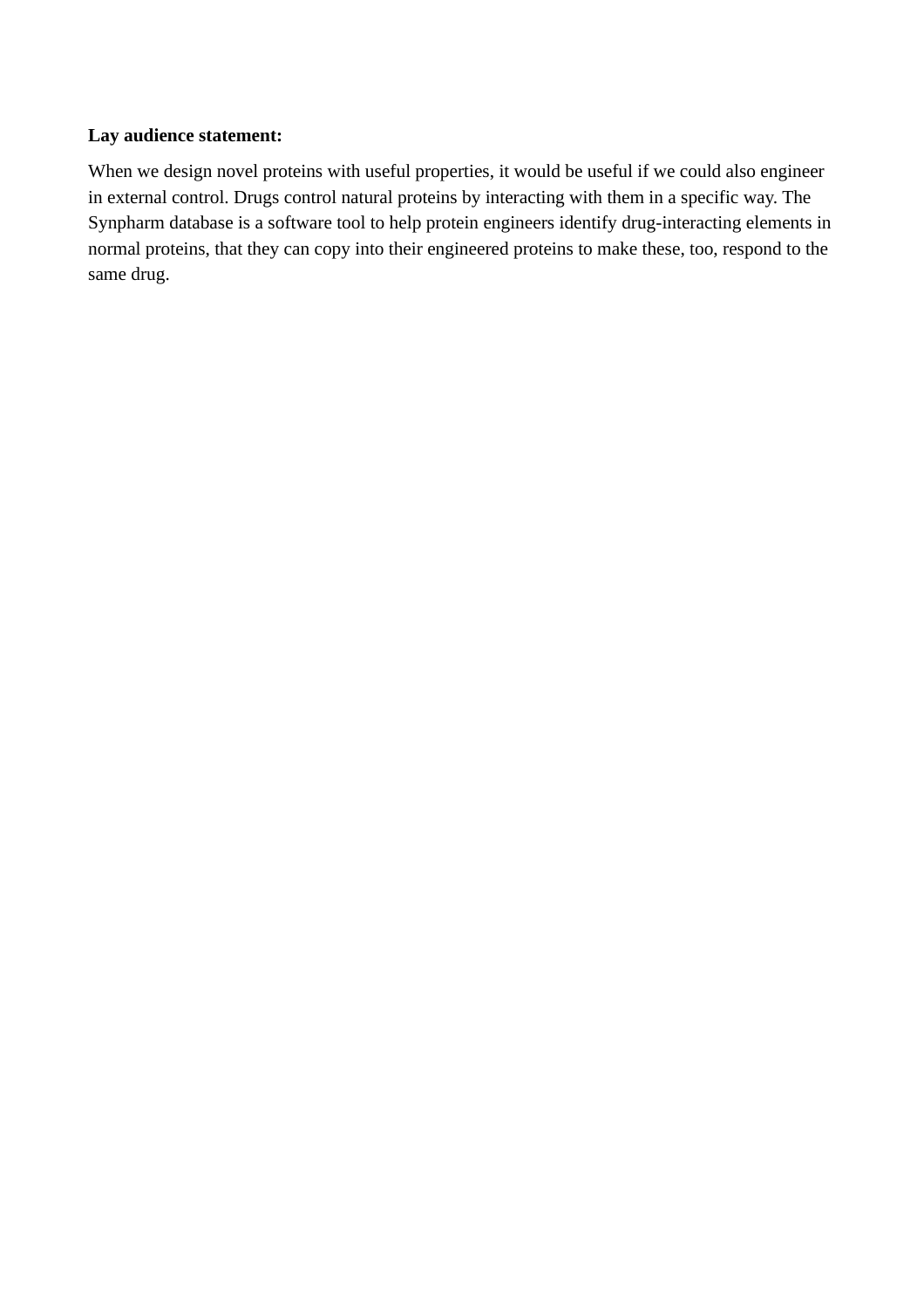## **Lay audience statement:**

When we design novel proteins with useful properties, it would be useful if we could also engineer in external control. Drugs control natural proteins by interacting with them in a specific way. The Synpharm database is a software tool to help protein engineers identify drug-interacting elements in normal proteins, that they can copy into their engineered proteins to make these, too, respond to the same drug.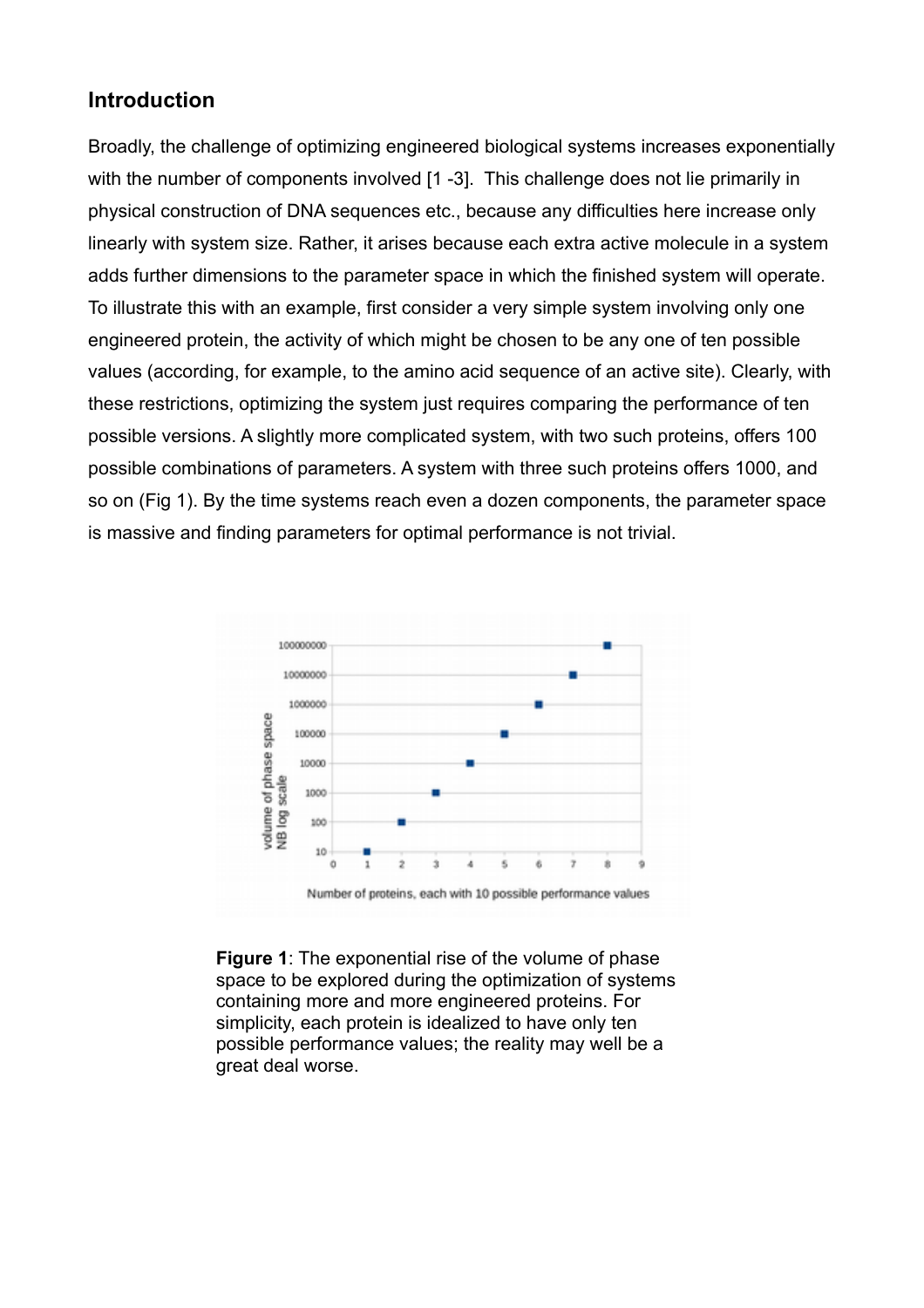## **Introduction**

Broadly, the challenge of optimizing engineered biological systems increases exponentially with the number of components involved [1 -3]. This challenge does not lie primarily in physical construction of DNA sequences etc., because any difficulties here increase only linearly with system size. Rather, it arises because each extra active molecule in a system adds further dimensions to the parameter space in which the finished system will operate. To illustrate this with an example, first consider a very simple system involving only one engineered protein, the activity of which might be chosen to be any one of ten possible values (according, for example, to the amino acid sequence of an active site). Clearly, with these restrictions, optimizing the system just requires comparing the performance of ten possible versions. A slightly more complicated system, with two such proteins, offers 100 possible combinations of parameters. A system with three such proteins offers 1000, and so on (Fig 1). By the time systems reach even a dozen components, the parameter space is massive and finding parameters for optimal performance is not trivial.



**Figure 1**: The exponential rise of the volume of phase space to be explored during the optimization of systems containing more and more engineered proteins. For simplicity, each protein is idealized to have only ten possible performance values; the reality may well be a great deal worse.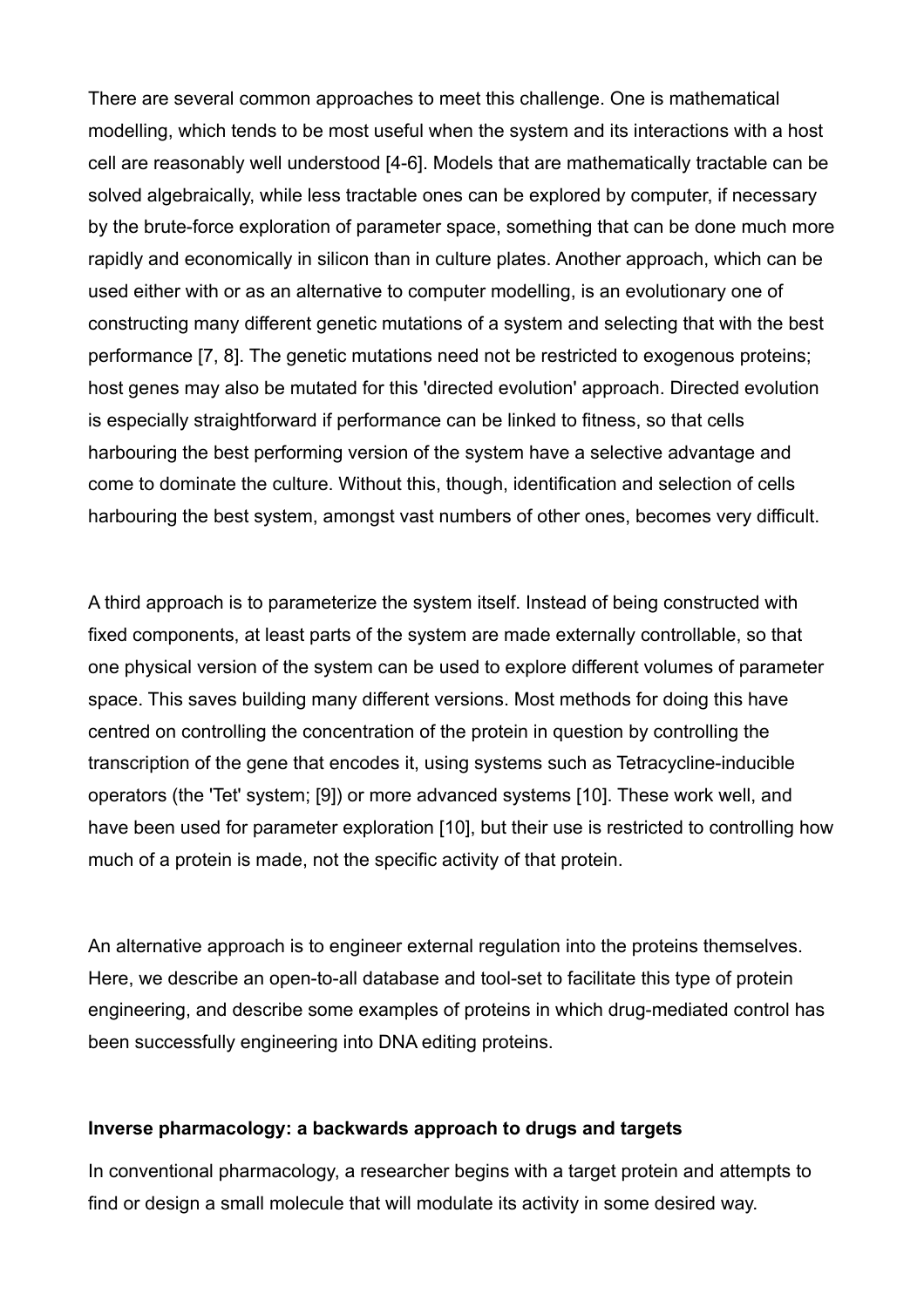There are several common approaches to meet this challenge. One is mathematical modelling, which tends to be most useful when the system and its interactions with a host cell are reasonably well understood [4-6]. Models that are mathematically tractable can be solved algebraically, while less tractable ones can be explored by computer, if necessary by the brute-force exploration of parameter space, something that can be done much more rapidly and economically in silicon than in culture plates. Another approach, which can be used either with or as an alternative to computer modelling, is an evolutionary one of constructing many different genetic mutations of a system and selecting that with the best performance [7, 8]. The genetic mutations need not be restricted to exogenous proteins; host genes may also be mutated for this 'directed evolution' approach. Directed evolution is especially straightforward if performance can be linked to fitness, so that cells harbouring the best performing version of the system have a selective advantage and come to dominate the culture. Without this, though, identification and selection of cells harbouring the best system, amongst vast numbers of other ones, becomes very difficult.

A third approach is to parameterize the system itself. Instead of being constructed with fixed components, at least parts of the system are made externally controllable, so that one physical version of the system can be used to explore different volumes of parameter space. This saves building many different versions. Most methods for doing this have centred on controlling the concentration of the protein in question by controlling the transcription of the gene that encodes it, using systems such as Tetracycline-inducible operators (the 'Tet' system; [9]) or more advanced systems [10]. These work well, and have been used for parameter exploration [10], but their use is restricted to controlling how much of a protein is made, not the specific activity of that protein.

An alternative approach is to engineer external regulation into the proteins themselves. Here, we describe an open-to-all database and tool-set to facilitate this type of protein engineering, and describe some examples of proteins in which drug-mediated control has been successfully engineering into DNA editing proteins.

#### **Inverse pharmacology: a backwards approach to drugs and targets**

In conventional pharmacology, a researcher begins with a target protein and attempts to find or design a small molecule that will modulate its activity in some desired way.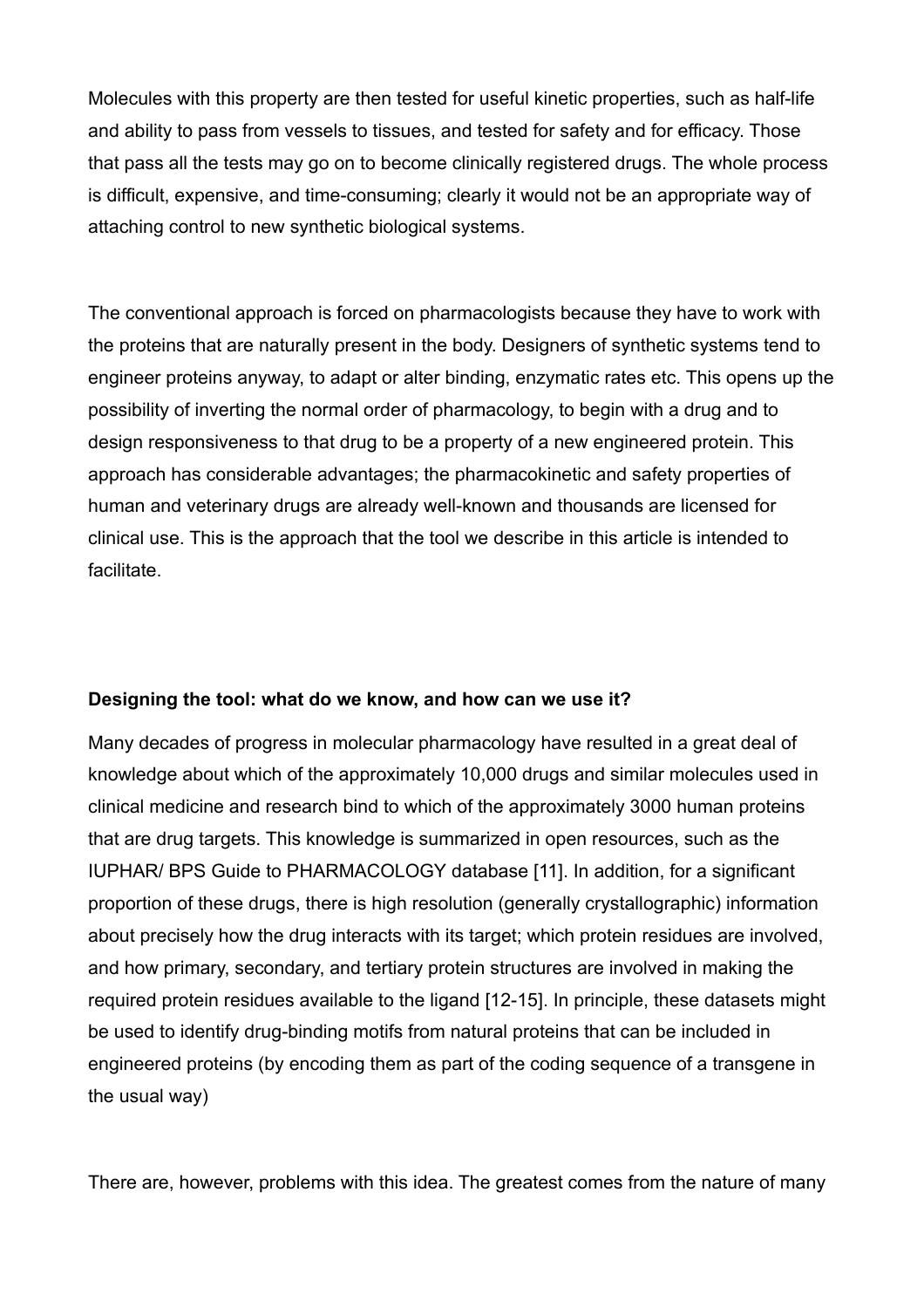Molecules with this property are then tested for useful kinetic properties, such as half-life and ability to pass from vessels to tissues, and tested for safety and for efficacy. Those that pass all the tests may go on to become clinically registered drugs. The whole process is difficult, expensive, and time-consuming; clearly it would not be an appropriate way of attaching control to new synthetic biological systems.

The conventional approach is forced on pharmacologists because they have to work with the proteins that are naturally present in the body. Designers of synthetic systems tend to engineer proteins anyway, to adapt or alter binding, enzymatic rates etc. This opens up the possibility of inverting the normal order of pharmacology, to begin with a drug and to design responsiveness to that drug to be a property of a new engineered protein. This approach has considerable advantages; the pharmacokinetic and safety properties of human and veterinary drugs are already well-known and thousands are licensed for clinical use. This is the approach that the tool we describe in this article is intended to facilitate.

### **Designing the tool: what do we know, and how can we use it?**

Many decades of progress in molecular pharmacology have resulted in a great deal of knowledge about which of the approximately 10,000 drugs and similar molecules used in clinical medicine and research bind to which of the approximately 3000 human proteins that are drug targets. This knowledge is summarized in open resources, such as the IUPHAR/ BPS Guide to PHARMACOLOGY database [11]. In addition, for a significant proportion of these drugs, there is high resolution (generally crystallographic) information about precisely how the drug interacts with its target; which protein residues are involved, and how primary, secondary, and tertiary protein structures are involved in making the required protein residues available to the ligand [12-15]. In principle, these datasets might be used to identify drug-binding motifs from natural proteins that can be included in engineered proteins (by encoding them as part of the coding sequence of a transgene in the usual way)

There are, however, problems with this idea. The greatest comes from the nature of many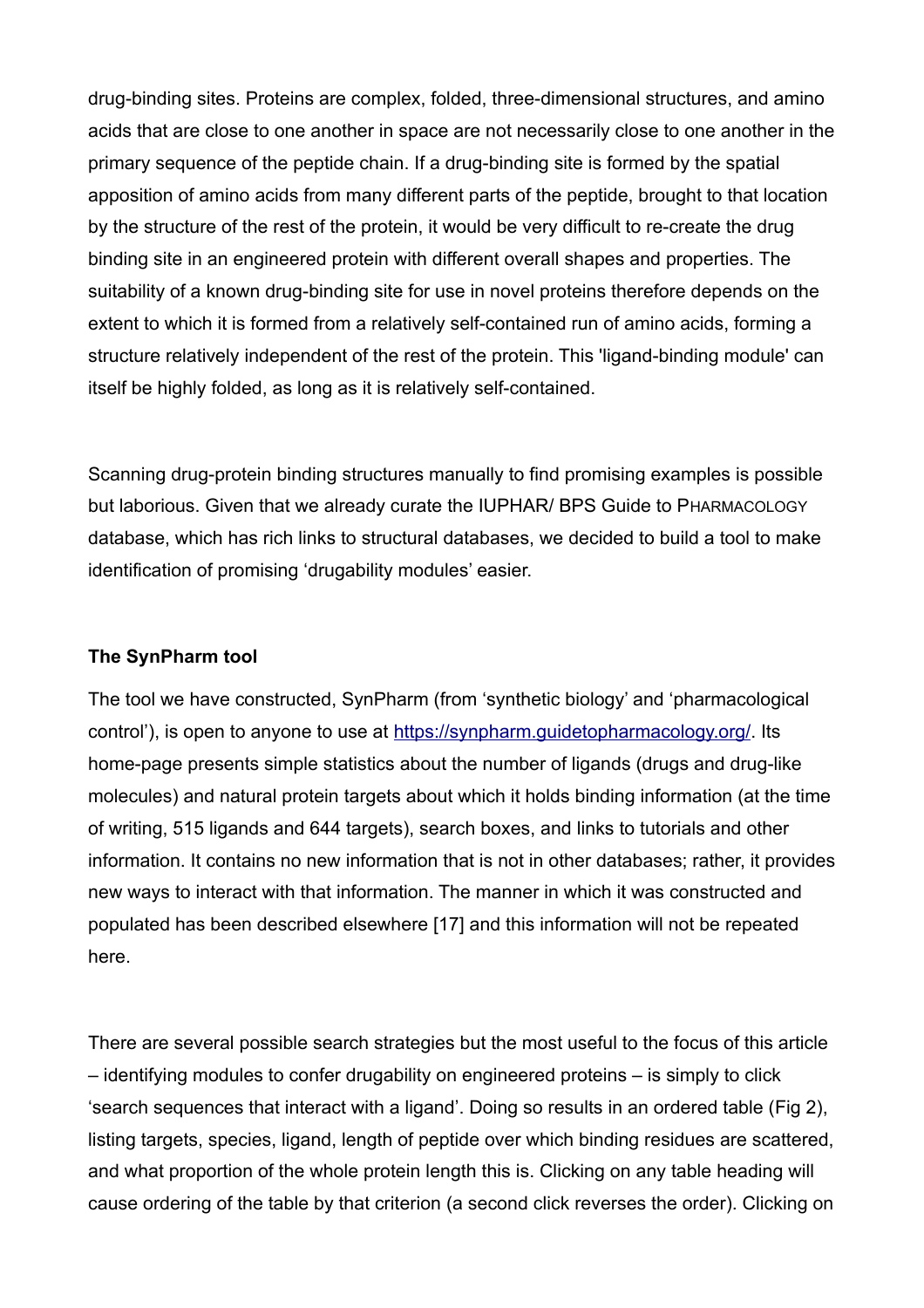drug-binding sites. Proteins are complex, folded, three-dimensional structures, and amino acids that are close to one another in space are not necessarily close to one another in the primary sequence of the peptide chain. If a drug-binding site is formed by the spatial apposition of amino acids from many different parts of the peptide, brought to that location by the structure of the rest of the protein, it would be very difficult to re-create the drug binding site in an engineered protein with different overall shapes and properties. The suitability of a known drug-binding site for use in novel proteins therefore depends on the extent to which it is formed from a relatively self-contained run of amino acids, forming a structure relatively independent of the rest of the protein. This 'ligand-binding module' can itself be highly folded, as long as it is relatively self-contained.

Scanning drug-protein binding structures manually to find promising examples is possible but laborious. Given that we already curate the IUPHAR/ BPS Guide to PHARMACOLOGY database, which has rich links to structural databases, we decided to build a tool to make identification of promising 'drugability modules' easier.

#### **The SynPharm tool**

The tool we have constructed, SynPharm (from 'synthetic biology' and 'pharmacological control'), is open to anyone to use at [https://synpharm.guidetopharmacology.org/.](https://synpharm.guidetopharmacology.org/) Its home-page presents simple statistics about the number of ligands (drugs and drug-like molecules) and natural protein targets about which it holds binding information (at the time of writing, 515 ligands and 644 targets), search boxes, and links to tutorials and other information. It contains no new information that is not in other databases; rather, it provides new ways to interact with that information. The manner in which it was constructed and populated has been described elsewhere [17] and this information will not be repeated here.

There are several possible search strategies but the most useful to the focus of this article – identifying modules to confer drugability on engineered proteins – is simply to click 'search sequences that interact with a ligand'. Doing so results in an ordered table (Fig 2), listing targets, species, ligand, length of peptide over which binding residues are scattered, and what proportion of the whole protein length this is. Clicking on any table heading will cause ordering of the table by that criterion (a second click reverses the order). Clicking on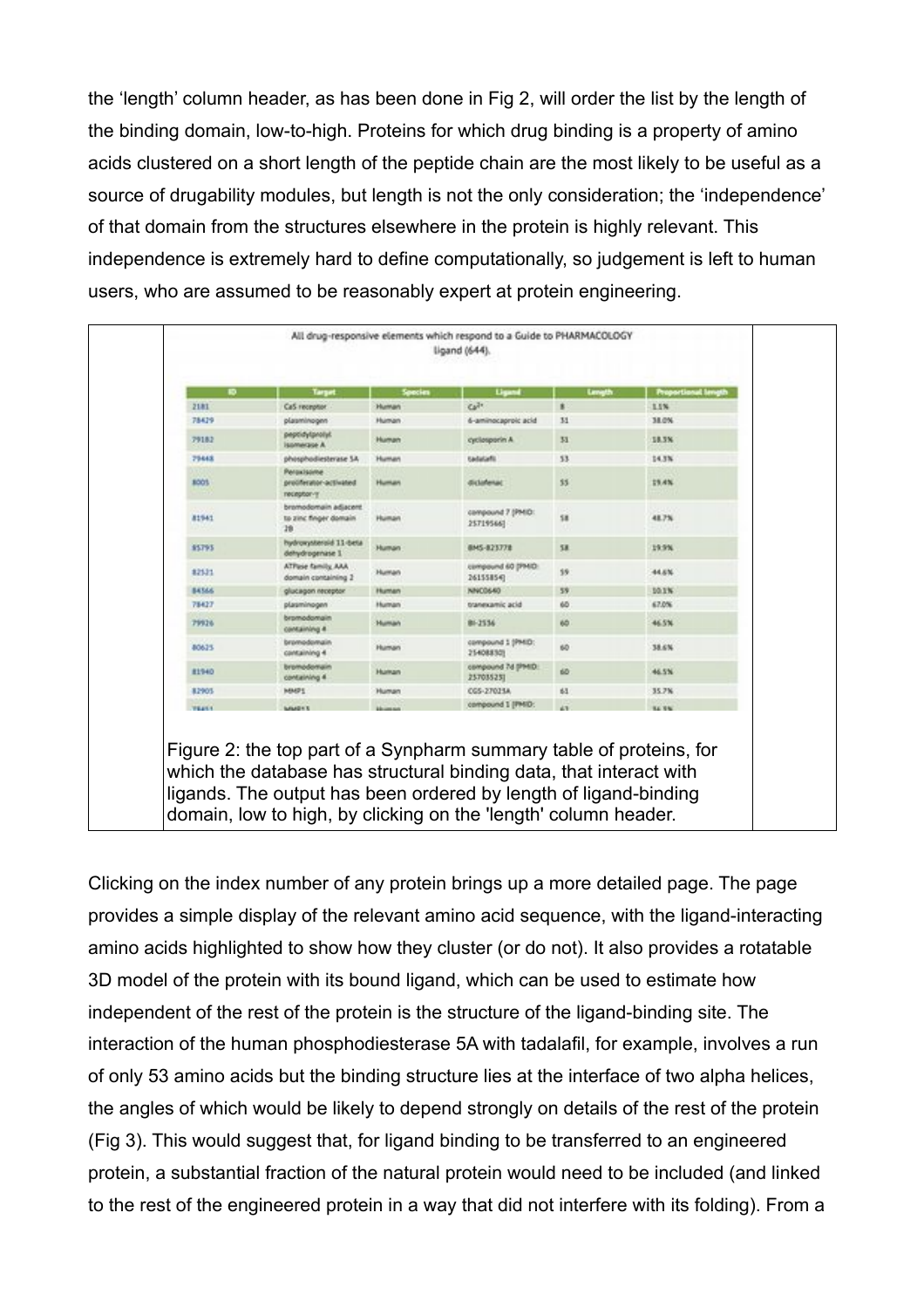the 'length' column header, as has been done in Fig 2, will order the list by the length of the binding domain, low-to-high. Proteins for which drug binding is a property of amino acids clustered on a short length of the peptide chain are the most likely to be useful as a source of drugability modules, but length is not the only consideration; the 'independence' of that domain from the structures elsewhere in the protein is highly relevant. This independence is extremely hard to define computationally, so judgement is left to human users, who are assumed to be reasonably expert at protein engineering.

|              | Target                                                | Species            | Ligand                         | Levesth     | <b>Proportional lange</b> |
|--------------|-------------------------------------------------------|--------------------|--------------------------------|-------------|---------------------------|
| 2181         | Ca5 reception                                         | <b>Human</b>       | Ca7+                           | ×           | 1.1%                      |
| 78429        | plasminogen                                           | Human              | 6-aminocaproic acid            | 31          | 38.0%                     |
| 79182        | peptidylprolyl<br><b>Islamenzion A</b>                | Human              | cyclosporin A                  | 33          | 18.3%                     |
| 79443        | phosphodiesterase SA                                  | <b>Human</b>       | <b>Sadatafit</b>               | 53          | 14.3%                     |
| 8001         | Persuissine<br>protifierator-activated<br>receptor-y  | <b>Human</b>       | dictateruit.                   | 35          | 19.4%                     |
| 81941        | bromodomain adjacent.<br>to zinc finger domain.<br>28 | <b>Human</b>       | compound 7 (PHID:<br>257195667 | 58          | 41.7%                     |
| \$5795       | hydroxysteroid 11-beta<br>dehydrogenase I             | <b>Human</b>       | BMS-823778                     | 58          | 19:5%                     |
| 82531        | ATPase family AAA<br>domain containing 2              | <b>Human</b>       | compound 60 (PMD:<br>261558547 | 19          | 44.6%                     |
| <b>BATAA</b> | glucagon receptor                                     | Human              | NNCO640                        | 59          | 10.1%                     |
| 78427        | plasminogen                                           | Human              | tranexamic acid                | 65          | 67.0%                     |
| 79926        | bromodomain<br>containing #                           | <b>Human</b>       | 81-2536                        | 6D          | 46.5%                     |
| 80625        | bromodomain<br>containing 4                           | Human              | compound 1 (PHID:<br>254088303 | 6D          | 38.6%                     |
| <b>R1940</b> | bromodomain<br>containing 4                           | Human              | compound 7d (PMD)<br>257035231 | <b>ditt</b> | 46.5%                     |
| 82905        | <b>MMPS</b>                                           | Human              | CGS-27025A                     | 63          | 35.7%                     |
| <b>WEARY</b> | <b><i>MARINE</i></b>                                  | <b>Manager and</b> | compound 1 (PHD:               | 4.76        | <b>BA 940</b>             |

Clicking on the index number of any protein brings up a more detailed page. The page provides a simple display of the relevant amino acid sequence, with the ligand-interacting amino acids highlighted to show how they cluster (or do not). It also provides a rotatable 3D model of the protein with its bound ligand, which can be used to estimate how independent of the rest of the protein is the structure of the ligand-binding site. The interaction of the human phosphodiesterase 5A with tadalafil, for example, involves a run of only 53 amino acids but the binding structure lies at the interface of two alpha helices, the angles of which would be likely to depend strongly on details of the rest of the protein (Fig 3). This would suggest that, for ligand binding to be transferred to an engineered protein, a substantial fraction of the natural protein would need to be included (and linked to the rest of the engineered protein in a way that did not interfere with its folding). From a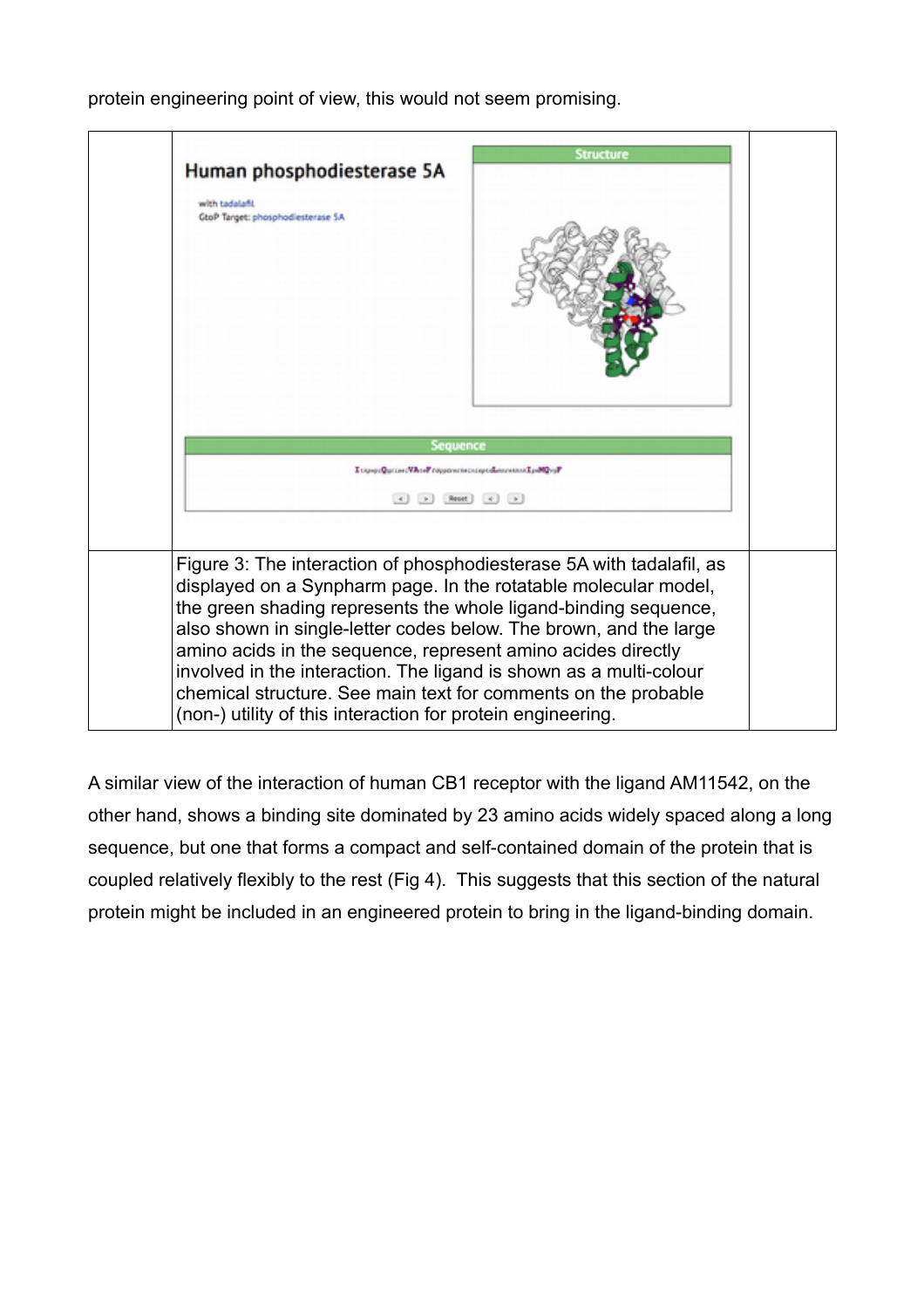

protein engineering point of view, this would not seem promising.

A similar view of the interaction of human CB1 receptor with the ligand AM11542, on the other hand, shows a binding site dominated by 23 amino acids widely spaced along a long sequence, but one that forms a compact and self-contained domain of the protein that is coupled relatively flexibly to the rest (Fig 4). This suggests that this section of the natural protein might be included in an engineered protein to bring in the ligand-binding domain.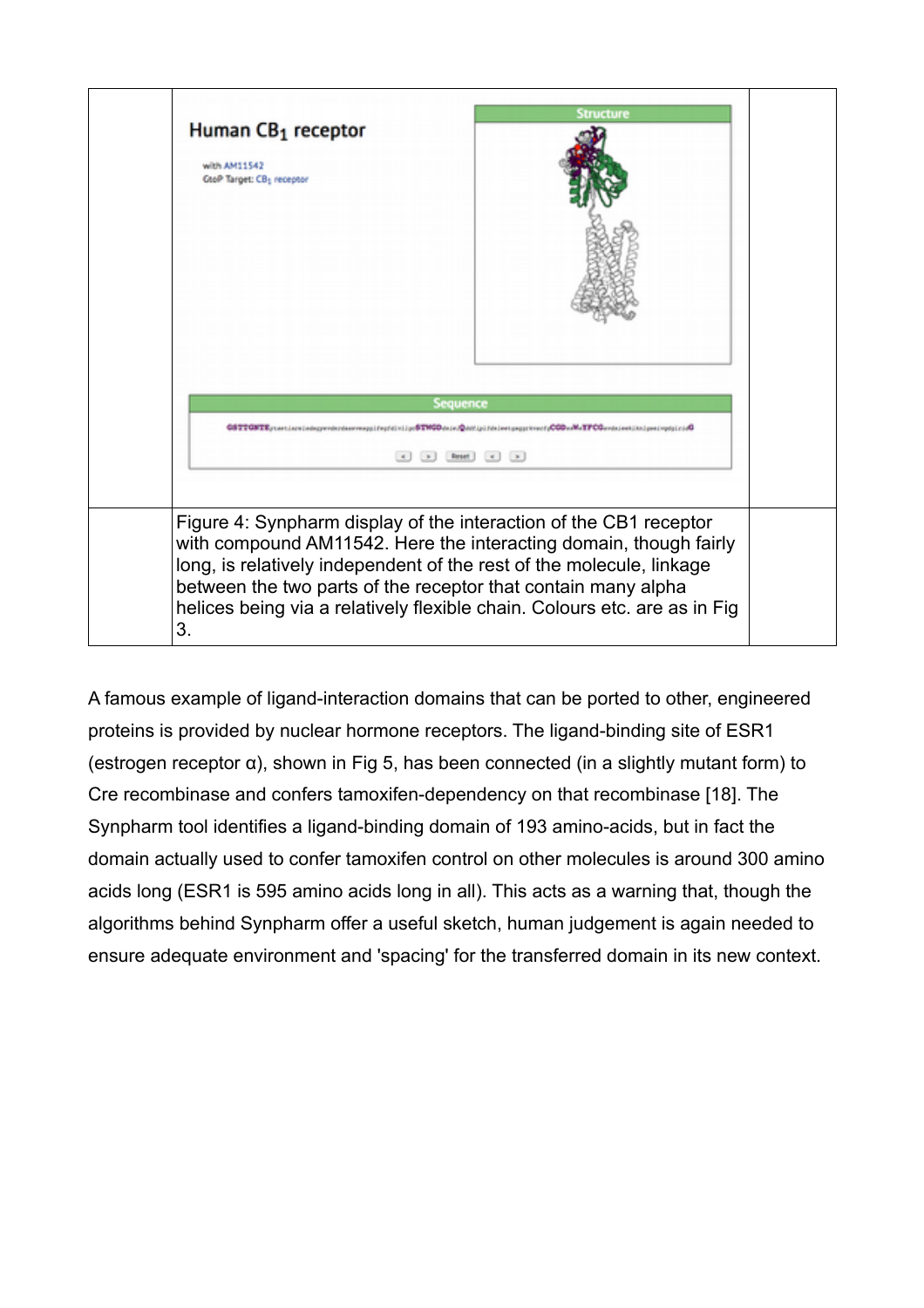

A famous example of ligand-interaction domains that can be ported to other, engineered proteins is provided by nuclear hormone receptors. The ligand-binding site of ESR1 (estrogen receptor  $\alpha$ ), shown in Fig 5, has been connected (in a slightly mutant form) to Cre recombinase and confers tamoxifen-dependency on that recombinase [18]. The Synpharm tool identifies a ligand-binding domain of 193 amino-acids, but in fact the domain actually used to confer tamoxifen control on other molecules is around 300 amino acids long (ESR1 is 595 amino acids long in all). This acts as a warning that, though the algorithms behind Synpharm offer a useful sketch, human judgement is again needed to ensure adequate environment and 'spacing' for the transferred domain in its new context.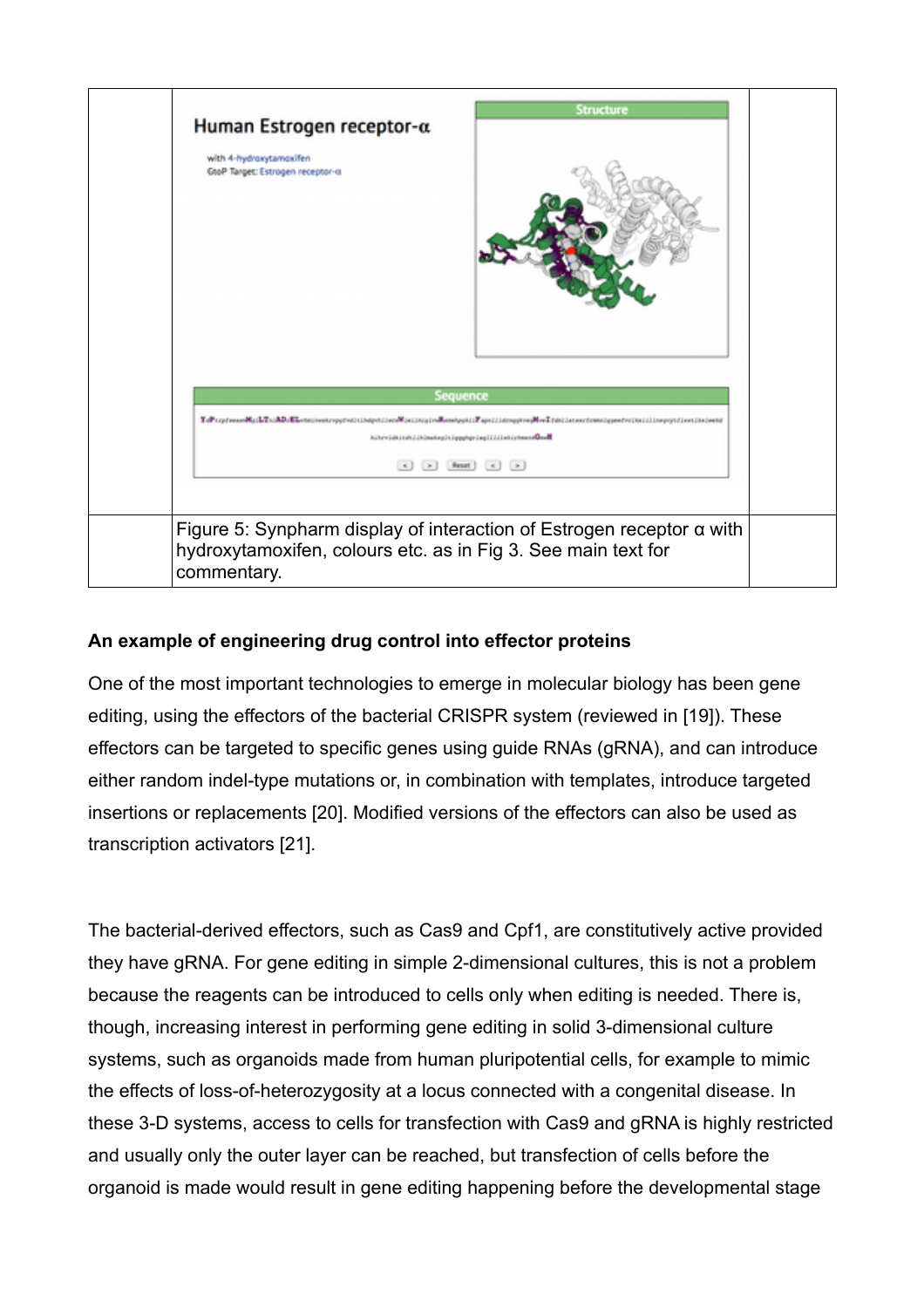

## **An example of engineering drug control into effector proteins**

One of the most important technologies to emerge in molecular biology has been gene editing, using the effectors of the bacterial CRISPR system (reviewed in [19]). These effectors can be targeted to specific genes using guide RNAs (gRNA), and can introduce either random indel-type mutations or, in combination with templates, introduce targeted insertions or replacements [20]. Modified versions of the effectors can also be used as transcription activators [21].

The bacterial-derived effectors, such as Cas9 and Cpf1, are constitutively active provided they have gRNA. For gene editing in simple 2-dimensional cultures, this is not a problem because the reagents can be introduced to cells only when editing is needed. There is, though, increasing interest in performing gene editing in solid 3-dimensional culture systems, such as organoids made from human pluripotential cells, for example to mimic the effects of loss-of-heterozygosity at a locus connected with a congenital disease. In these 3-D systems, access to cells for transfection with Cas9 and gRNA is highly restricted and usually only the outer layer can be reached, but transfection of cells before the organoid is made would result in gene editing happening before the developmental stage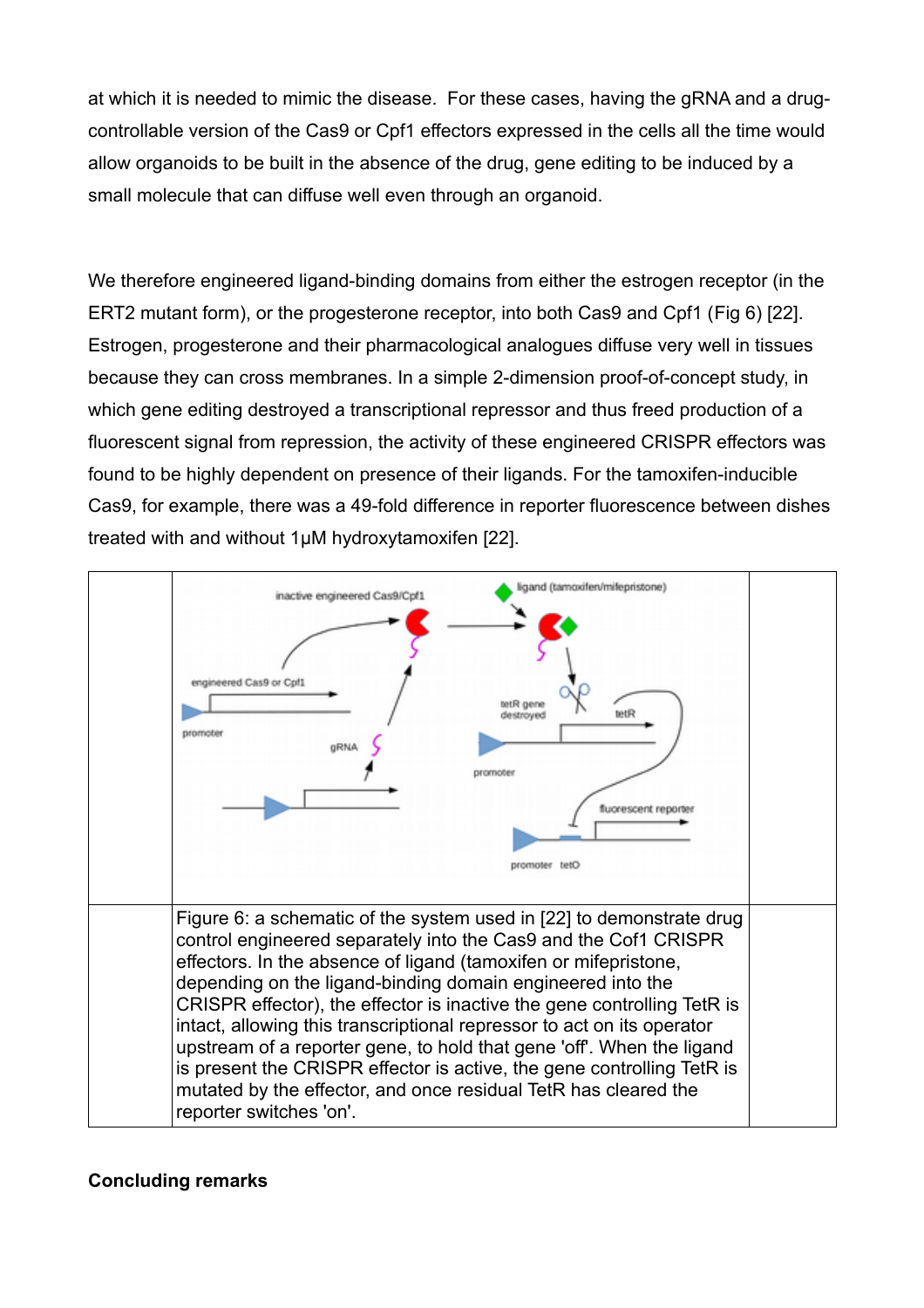at which it is needed to mimic the disease. For these cases, having the gRNA and a drugcontrollable version of the Cas9 or Cpf1 effectors expressed in the cells all the time would allow organoids to be built in the absence of the drug, gene editing to be induced by a small molecule that can diffuse well even through an organoid.

We therefore engineered ligand-binding domains from either the estrogen receptor (in the ERT2 mutant form), or the progesterone receptor, into both Cas9 and Cpf1 (Fig 6) [22]. Estrogen, progesterone and their pharmacological analogues diffuse very well in tissues because they can cross membranes. In a simple 2-dimension proof-of-concept study, in which gene editing destroyed a transcriptional repressor and thus freed production of a fluorescent signal from repression, the activity of these engineered CRISPR effectors was found to be highly dependent on presence of their ligands. For the tamoxifen-inducible Cas9, for example, there was a 49-fold difference in reporter fluorescence between dishes treated with and without 1μM hydroxytamoxifen [22].



### **Concluding remarks**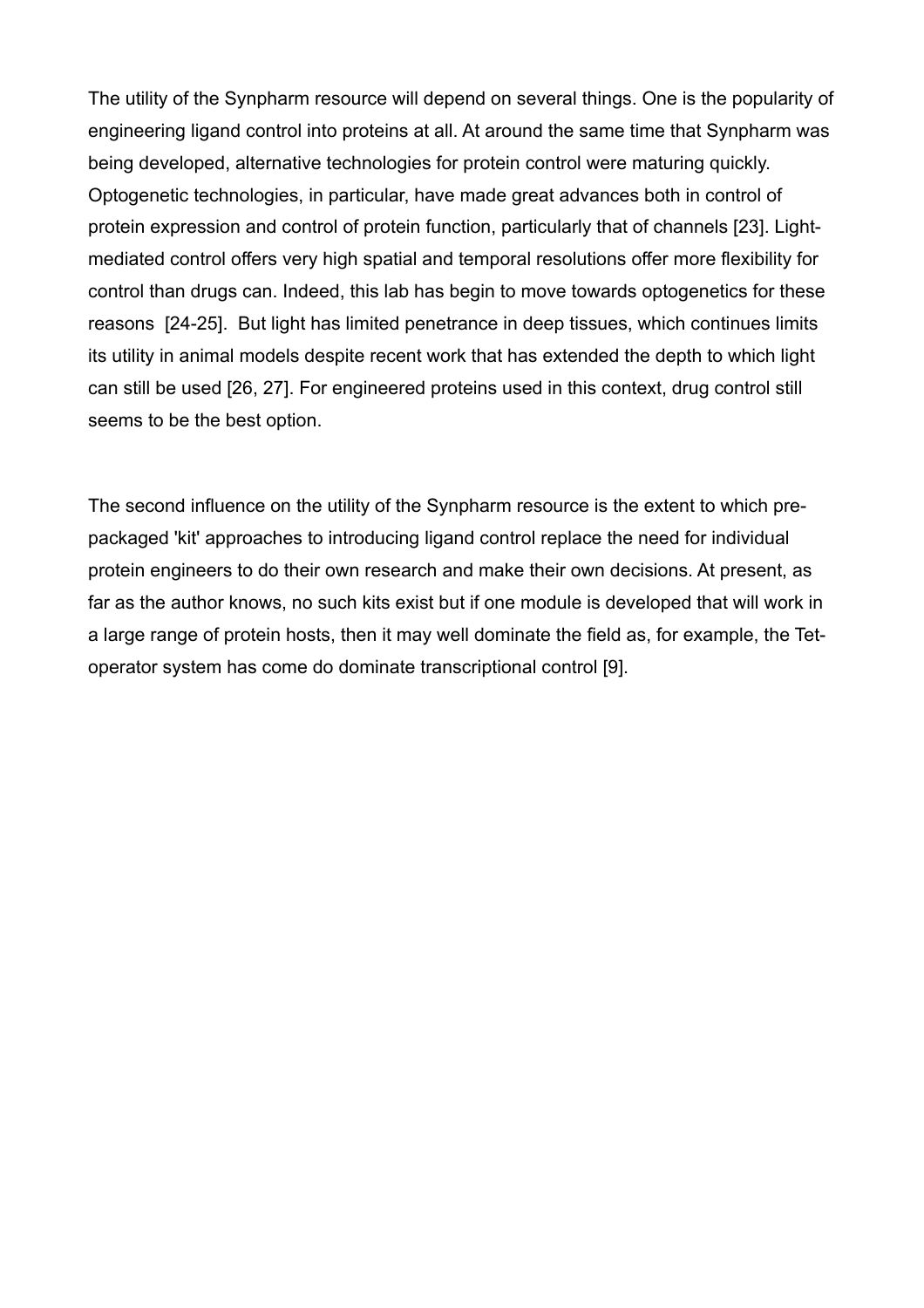The utility of the Synpharm resource will depend on several things. One is the popularity of engineering ligand control into proteins at all. At around the same time that Synpharm was being developed, alternative technologies for protein control were maturing quickly. Optogenetic technologies, in particular, have made great advances both in control of protein expression and control of protein function, particularly that of channels [23]. Lightmediated control offers very high spatial and temporal resolutions offer more flexibility for control than drugs can. Indeed, this lab has begin to move towards optogenetics for these reasons [24-25]. But light has limited penetrance in deep tissues, which continues limits its utility in animal models despite recent work that has extended the depth to which light can still be used [26, 27]. For engineered proteins used in this context, drug control still seems to be the best option.

The second influence on the utility of the Synpharm resource is the extent to which prepackaged 'kit' approaches to introducing ligand control replace the need for individual protein engineers to do their own research and make their own decisions. At present, as far as the author knows, no such kits exist but if one module is developed that will work in a large range of protein hosts, then it may well dominate the field as, for example, the Tetoperator system has come do dominate transcriptional control [9].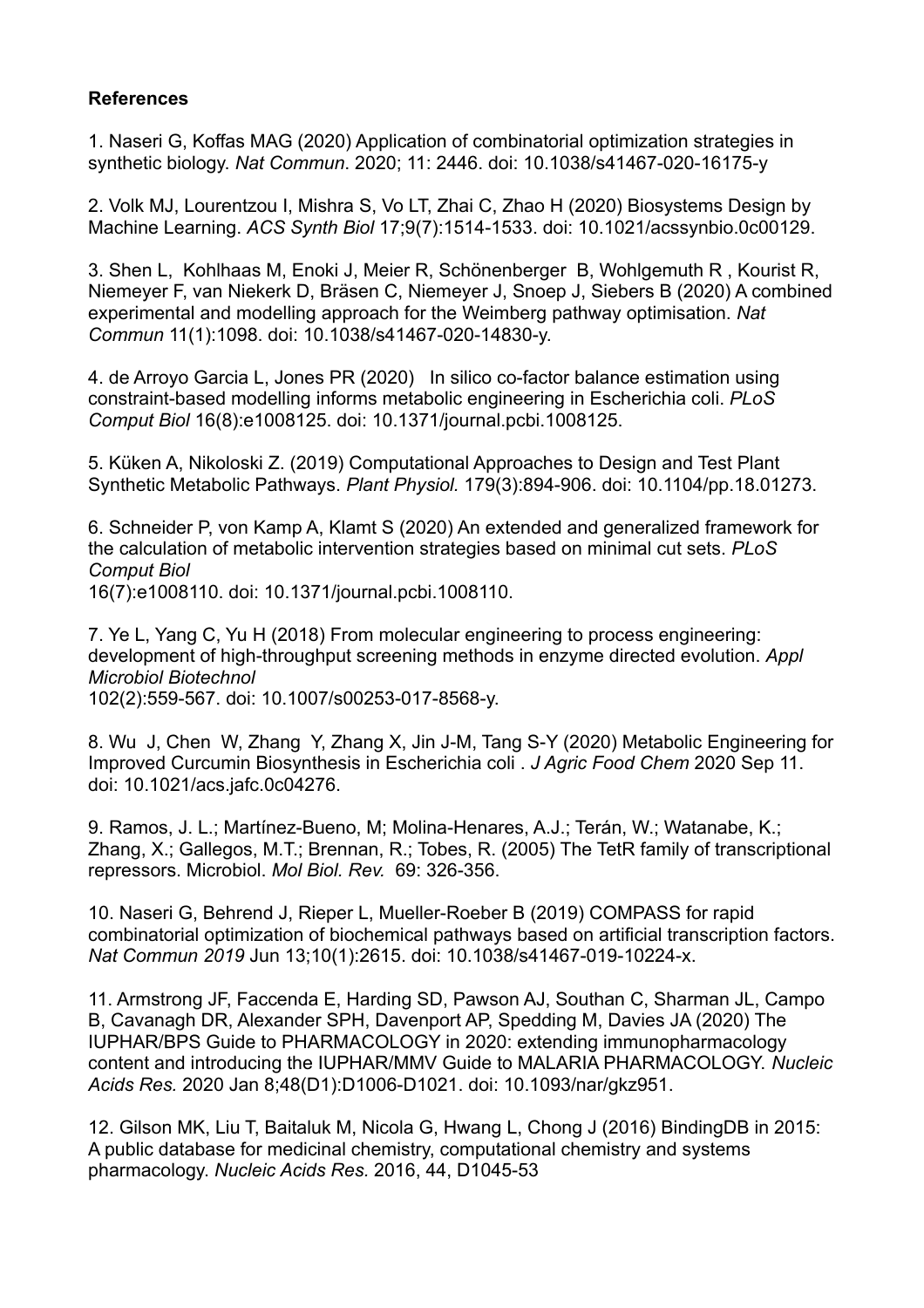### **References**

1. Naseri G, Koffas MAG (2020) Application of combinatorial optimization strategies in synthetic biology. *Nat Commun*. 2020; 11: 2446. doi: 10.1038/s41467-020-16175-y

2. Volk MJ, Lourentzou I, Mishra S, Vo LT, Zhai C, Zhao H (2020) Biosystems Design by Machine Learning. *ACS Synth Biol* 17;9(7):1514-1533. doi: 10.1021/acssynbio.0c00129.

3. Shen L, Kohlhaas M, Enoki J, Meier R, Schönenberger B, Wohlgemuth R , Kourist R, Niemeyer F, van Niekerk D, Bräsen C, Niemeyer J, Snoep J, Siebers B (2020) A combined experimental and modelling approach for the Weimberg pathway optimisation. *Nat Commun* 11(1):1098. doi: 10.1038/s41467-020-14830-y.

4. de Arroyo Garcia L, Jones PR (2020) In silico co-factor balance estimation using constraint-based modelling informs metabolic engineering in Escherichia coli. *PLoS Comput Biol* 16(8):e1008125. doi: 10.1371/journal.pcbi.1008125.

5. Küken A, Nikoloski Z. (2019) Computational Approaches to Design and Test Plant Synthetic Metabolic Pathways. *Plant Physiol.* 179(3):894-906. doi: 10.1104/pp.18.01273.

6. Schneider P, von Kamp A, Klamt S (2020) An extended and generalized framework for the calculation of metabolic intervention strategies based on minimal cut sets. *PLoS Comput Biol*

16(7):e1008110. doi: 10.1371/journal.pcbi.1008110.

7. Ye L, Yang C, Yu H (2018) From molecular engineering to process engineering: development of high-throughput screening methods in enzyme directed evolution. *Appl Microbiol Biotechnol*

102(2):559-567. doi: 10.1007/s00253-017-8568-y.

8. Wu J, Chen W, Zhang Y, Zhang X, Jin J-M, Tang S-Y (2020) Metabolic Engineering for Improved Curcumin Biosynthesis in Escherichia coli . *J Agric Food Chem* 2020 Sep 11. doi: 10.1021/acs.jafc.0c04276.

9. Ramos, J. L.; Martínez-Bueno, M; Molina-Henares, A.J.; Terán, W.; Watanabe, K.; Zhang, X.; Gallegos, M.T.; Brennan, R.; Tobes, R. (2005) The TetR family of transcriptional repressors. Microbiol. *Mol Biol. Rev.* 69: 326-356.

10. Naseri G, Behrend J, Rieper L, Mueller-Roeber B (2019) COMPASS for rapid combinatorial optimization of biochemical pathways based on artificial transcription factors. *Nat Commun 2019* Jun 13;10(1):2615. doi: 10.1038/s41467-019-10224-x.

11. Armstrong JF, Faccenda E, Harding SD, Pawson AJ, Southan C, Sharman JL, Campo B, Cavanagh DR, Alexander SPH, Davenport AP, Spedding M, Davies JA (2020) The IUPHAR/BPS Guide to PHARMACOLOGY in 2020: extending immunopharmacology content and introducing the IUPHAR/MMV Guide to MALARIA PHARMACOLOGY. *Nucleic Acids Res.* 2020 Jan 8;48(D1):D1006-D1021. doi: 10.1093/nar/gkz951.

12. Gilson MK, Liu T, Baitaluk M, Nicola G, Hwang L, Chong J (2016) BindingDB in 2015: A public database for medicinal chemistry, computational chemistry and systems pharmacology. *Nucleic Acids Res.* 2016, 44, D1045-53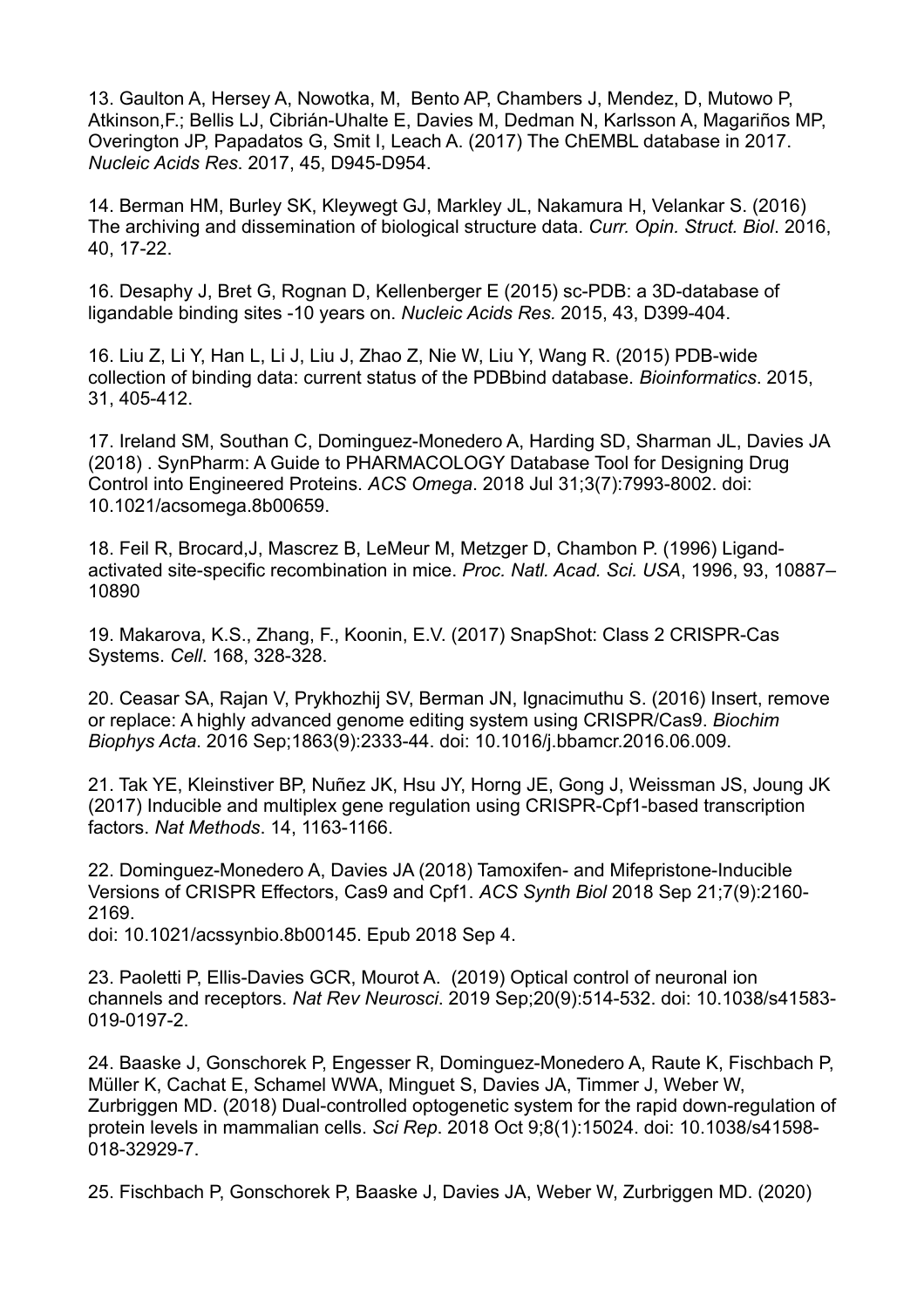13. Gaulton A, Hersey A, Nowotka, M, Bento AP, Chambers J, Mendez, D, Mutowo P, Atkinson,F.; Bellis LJ, Cibrián-Uhalte E, Davies M, Dedman N, Karlsson A, Magariños MP, Overington JP, Papadatos G, Smit I, Leach A. (2017) The ChEMBL database in 2017. *Nucleic Acids Res*. 2017, 45, D945-D954.

14. Berman HM, Burley SK, Kleywegt GJ, Markley JL, Nakamura H, Velankar S. (2016) The archiving and dissemination of biological structure data. *Curr. Opin. Struct. Biol*. 2016, 40, 17-22.

16. Desaphy J, Bret G, Rognan D, Kellenberger E (2015) sc-PDB: a 3D-database of ligandable binding sites -10 years on. *Nucleic Acids Res.* 2015, 43, D399-404.

16. Liu Z, Li Y, Han L, Li J, Liu J, Zhao Z, Nie W, Liu Y, Wang R. (2015) PDB-wide collection of binding data: current status of the PDBbind database. *Bioinformatics*. 2015, 31, 405-412.

17. Ireland SM, Southan C, Dominguez-Monedero A, Harding SD, Sharman JL, Davies JA (2018) . SynPharm: A Guide to PHARMACOLOGY Database Tool for Designing Drug Control into Engineered Proteins. *ACS Omega*. 2018 Jul 31;3(7):7993-8002. doi: 10.1021/acsomega.8b00659.

18. Feil R, Brocard,J, Mascrez B, LeMeur M, Metzger D, Chambon P. (1996) Ligandactivated site-specific recombination in mice. *Proc. Natl. Acad. Sci. USA*, 1996, 93, 10887– 10890

19. Makarova, K.S., Zhang, F., Koonin, E.V. (2017) SnapShot: Class 2 CRISPR-Cas Systems. *Cell*. 168, 328-328.

20. Ceasar SA, Rajan V, Prykhozhij SV, Berman JN, Ignacimuthu S. (2016) Insert, remove or replace: A highly advanced genome editing system using CRISPR/Cas9. *Biochim Biophys Acta*. 2016 Sep;1863(9):2333-44. doi: 10.1016/j.bbamcr.2016.06.009.

21. Tak YE, Kleinstiver BP, Nuñez JK, Hsu JY, Horng JE, Gong J, Weissman JS, Joung JK (2017) Inducible and multiplex gene regulation using CRISPR-Cpf1-based transcription factors. *Nat Methods*. 14, 1163-1166.

22. Dominguez-Monedero A, Davies JA (2018) Tamoxifen- and Mifepristone-Inducible Versions of CRISPR Effectors, Cas9 and Cpf1. *ACS Synth Biol* 2018 Sep 21;7(9):2160- 2169.

doi: 10.1021/acssynbio.8b00145. Epub 2018 Sep 4.

23. Paoletti P, Ellis-Davies GCR, Mourot A. (2019) Optical control of neuronal ion channels and receptors. *Nat Rev Neurosci*. 2019 Sep;20(9):514-532. doi: 10.1038/s41583- 019-0197-2.

24. Baaske J, Gonschorek P, Engesser R, Dominguez-Monedero A, Raute K, Fischbach P, Müller K, Cachat E, Schamel WWA, Minguet S, Davies JA, Timmer J, Weber W, Zurbriggen MD. (2018) Dual-controlled optogenetic system for the rapid down-regulation of protein levels in mammalian cells. *Sci Rep*. 2018 Oct 9;8(1):15024. doi: 10.1038/s41598- 018-32929-7.

25. Fischbach P, Gonschorek P, Baaske J, Davies JA, Weber W, Zurbriggen MD. (2020)